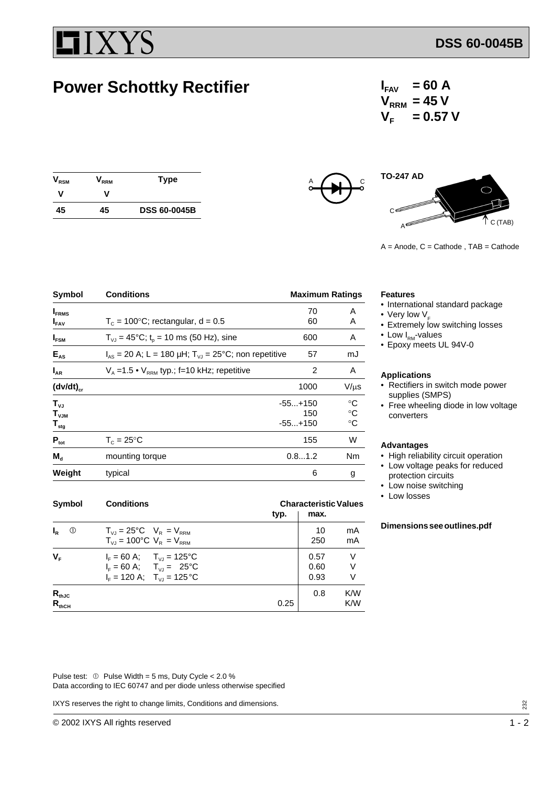# **ZYS**

## **Power Schottky Rectifier**

 $I_{FAV}$  = 60 A  $V_{\text{RRM}}$  = 45 V  $V_F = 0.57 V$ 

| $\bm{{\mathsf{V}}}_{\mathsf{RSM}}$ | $\mathsf{V}_{\mathsf{RRM}}$ | <b>Type</b>         |
|------------------------------------|-----------------------------|---------------------|
| v                                  | v                           |                     |
| 45                                 | 45                          | <b>DSS 60-0045B</b> |





 $A =$  Anode,  $C =$  Cathode,  $TAB =$  Cathode

| Symbol                                             | <b>Conditions</b>                                            | <b>Maximum Ratings</b>        |                                                       |
|----------------------------------------------------|--------------------------------------------------------------|-------------------------------|-------------------------------------------------------|
| $I_{FRMS}$<br>$I_{FAV}$                            | $T_c = 100^{\circ}$ C; rectangular, d = 0.5                  | 70<br>60                      | A<br>A                                                |
| $I_{FSM}$                                          | $T_{VJ}$ = 45°C; t <sub>o</sub> = 10 ms (50 Hz), sine        | 600                           | A                                                     |
| $E_{AS}$                                           | $I_{AS}$ = 20 A; L = 180 µH; $T_{VJ}$ = 25°C; non repetitive | 57                            | mJ                                                    |
| $I_{AR}$                                           | $V_A = 1.5 \cdot V_{RRM}$ typ.; f=10 kHz; repetitive         | 2                             | A                                                     |
| $(dv/dt)_{cr}$                                     |                                                              | 1000                          | $V/\mu s$                                             |
| $T_{VJ}$<br>$T_{VJM}$<br>$\mathbf{T}_{\text{stg}}$ |                                                              | $-55+150$<br>150<br>$-55+150$ | $^{\circ}C$<br>$^\circ \text{C}$<br>$^\circ \text{C}$ |
| $P_{\text{tot}}$                                   | $T_c = 25$ °C                                                | 155                           | W                                                     |
| $M_{\rm d}$                                        | mounting torque                                              | 0.81.2                        | Nm                                                    |
| Weight                                             | typical                                                      | 6                             | g                                                     |

| <b>Symbol</b>            | <b>Conditions</b>                                                                                                                                          |      | <b>Characteristic Values</b> |             |  |
|--------------------------|------------------------------------------------------------------------------------------------------------------------------------------------------------|------|------------------------------|-------------|--|
|                          |                                                                                                                                                            | typ. | max.                         |             |  |
| $I_{R}$<br>$\circled{0}$ | $T_{VJ} = 25^{\circ}C$ $V_R = V_{RRM}$<br>$T_{V,I} = 100^{\circ}C$ $V_R = V_{RRM}$                                                                         |      | 10<br>250                    | mA<br>mA    |  |
| $V_{F}$                  | $I_F = 60 \text{ A}; \quad T_{VJ} = 125^{\circ} \text{C}$<br>$I_F = 60 \text{ A}; \quad T_{V_I} = 25^{\circ} \text{C}$<br>$I_F = 120$ A; $T_{V1} = 125$ °C |      | 0.57<br>0.60<br>0.93         | ٧<br>٧<br>V |  |
| $R_{thJC}$<br>$R_{thCH}$ |                                                                                                                                                            | 0.25 | 0.8                          | K/W<br>K/W  |  |

#### **Features**

- International standard package
- Very low  $V_F$
- Extremely low switching losses
- Low  $I_{RM}$ -values
- Epoxy meets UL 94V-0

#### **Applications**

- Rectifiers in switch mode power supplies (SMPS)
- Free wheeling diode in low voltage converters

#### **Advantages**

- High reliability circuit operation
- Low voltage peaks for reduced protection circuits
- Low noise switching
- Low losses

#### **Dimensions see outlines.pdf**

Pulse test:  $\circled{v}$  Pulse Width = 5 ms, Duty Cycle < 2.0 % Data according to IEC 60747 and per diode unless otherwise specified

IXYS reserves the right to change limits, Conditions and dimensions.